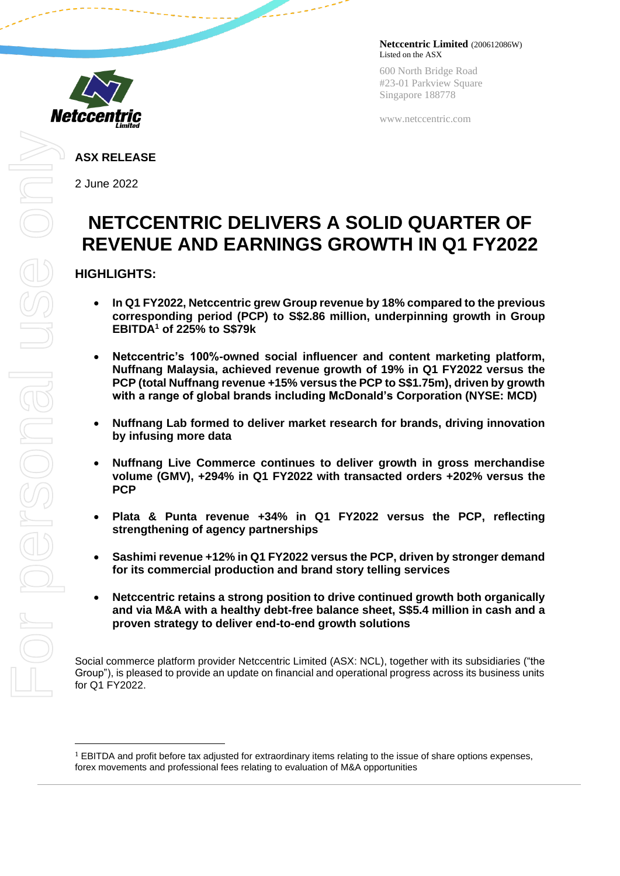

600 North Bridge Road #23-01 Parkview Square Singapore 188778

www.netccentric.com

**ASX RELEASE**

2 June 2022

# **NETCCENTRIC DELIVERS A SOLID QUARTER OF REVENUE AND EARNINGS GROWTH IN Q1 FY2022**

# **HIGHLIGHTS:**

- **In Q1 FY2022, Netccentric grew Group revenue by 18% compared to the previous corresponding period (PCP) to S\$2.86 million, underpinning growth in Group EBITDA<sup>1</sup> of 225% to S\$79k**
- **Netccentric's 100%-owned social influencer and content marketing platform, Nuffnang Malaysia, achieved revenue growth of 19% in Q1 FY2022 versus the PCP (total Nuffnang revenue +15% versus the PCP to S\$1.75m), driven by growth with a range of global brands including McDonald's Corporation (NYSE: MCD)**
- **Nuffnang Lab formed to deliver market research for brands, driving innovation by infusing more data**
- **Nuffnang Live Commerce continues to deliver growth in gross merchandise volume (GMV), +294% in Q1 FY2022 with transacted orders +202% versus the PCP**
- **Plata & Punta revenue +34% in Q1 FY2022 versus the PCP, reflecting strengthening of agency partnerships**
- **Sashimi revenue +12% in Q1 FY2022 versus the PCP, driven by stronger demand for its commercial production and brand story telling services**
- **Netccentric retains a strong position to drive continued growth both organically and via M&A with a healthy debt-free balance sheet, S\$5.4 million in cash and a proven strategy to deliver end-to-end growth solutions**

Social commerce platform provider Netccentric Limited (ASX: NCL), together with its subsidiaries ("the Group"), is pleased to provide an update on financial and operational progress across its business units for Q1 FY2022.

 $1$  EBITDA and profit before tax adjusted for extraordinary items relating to the issue of share options expenses, forex movements and professional fees relating to evaluation of M&A opportunities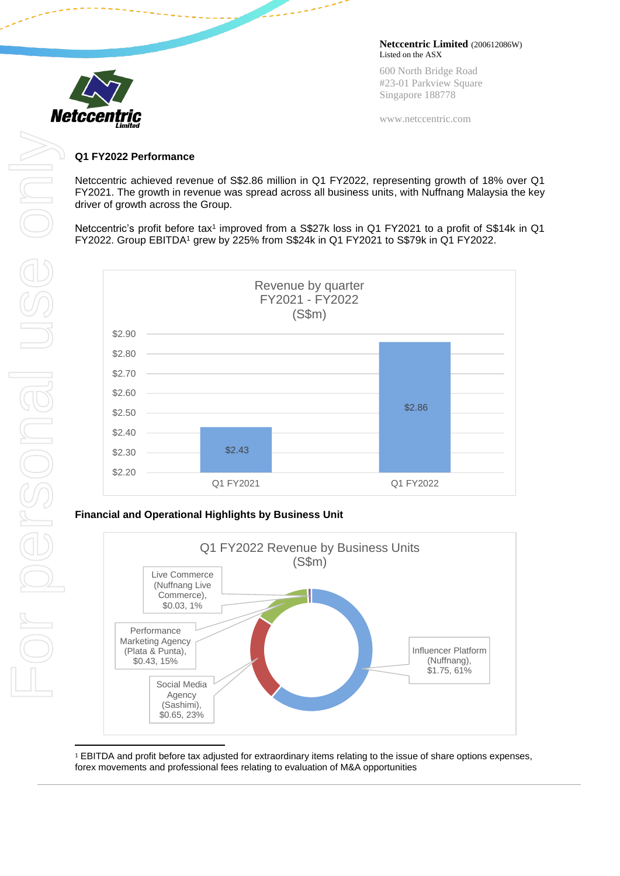

600 North Bridge Road #23-01 Parkview Square Singapore 188778

www.netccentric.com

#### **Q1 FY2022 Performance**

Netccentric achieved revenue of S\$2.86 million in Q1 FY2022, representing growth of 18% over Q1 FY2021. The growth in revenue was spread across all business units, with Nuffnang Malaysia the key driver of growth across the Group.

Netccentric's profit before tax<sup>1</sup> improved from a S\$27k loss in Q1 FY2021 to a profit of S\$14k in Q1 FY2022. Group EBITDA<sup>1</sup> grew by 225% from S\$24k in Q1 FY2021 to S\$79k in Q1 FY2022.



# **Financial and Operational Highlights by Business Unit**



<sup>1</sup> EBITDA and profit before tax adjusted for extraordinary items relating to the issue of share options expenses, forex movements and professional fees relating to evaluation of M&A opportunities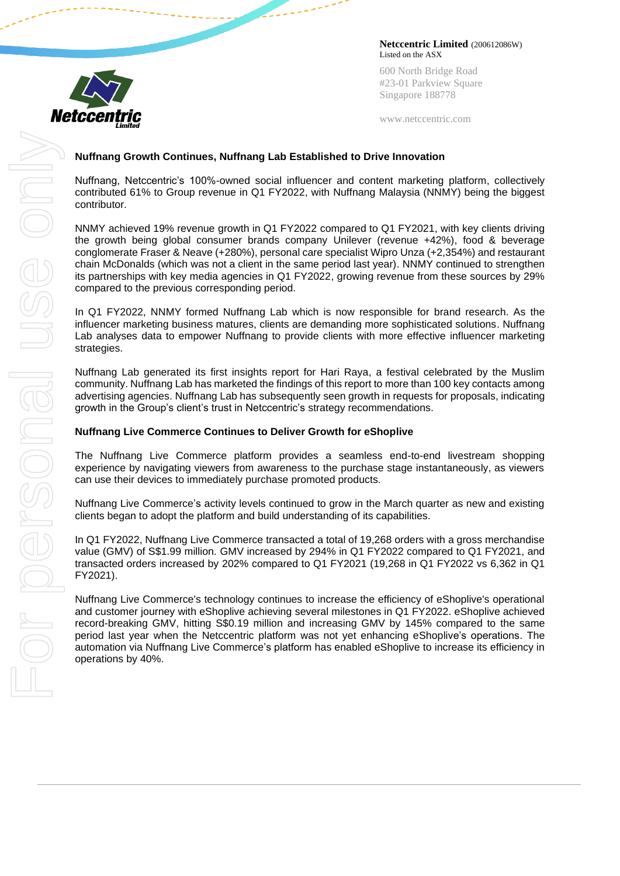

600 North Bridge Road #23-01 Parkview Square Singapore 188778

www.netccentric.com

## **Nuffnang Growth Continues, Nuffnang Lab Established to Drive Innovation**

Nuffnang, Netccentric's 100%-owned social influencer and content marketing platform, collectively contributed 61% to Group revenue in Q1 FY2022, with Nuffnang Malaysia (NNMY) being the biggest contributor.

NNMY achieved 19% revenue growth in Q1 FY2022 compared to Q1 FY2021, with key clients driving the growth being global consumer brands company Unilever (revenue +42%), food & beverage conglomerate Fraser & Neave (+280%), personal care specialist Wipro Unza (+2,354%) and restaurant chain McDonalds (which was not a client in the same period last year). NNMY continued to strengthen its partnerships with key media agencies in Q1 FY2022, growing revenue from these sources by 29% compared to the previous corresponding period.

In Q1 FY2022, NNMY formed Nuffnang Lab which is now responsible for brand research. As the influencer marketing business matures, clients are demanding more sophisticated solutions. Nuffnang Lab analyses data to empower Nuffnang to provide clients with more effective influencer marketing strategies.

Nuffnang Lab generated its first insights report for Hari Raya, a festival celebrated by the Muslim community. Nuffnang Lab has marketed the findings of this report to more than 100 key contacts among advertising agencies. Nuffnang Lab has subsequently seen growth in requests for proposals, indicating growth in the Group's client's trust in Netccentric's strategy recommendations.

## **Nuffnang Live Commerce Continues to Deliver Growth for eShoplive**

The Nuffnang Live Commerce platform provides a seamless end-to-end livestream shopping experience by navigating viewers from awareness to the purchase stage instantaneously, as viewers can use their devices to immediately purchase promoted products.

Nuffnang Live Commerce's activity levels continued to grow in the March quarter as new and existing clients began to adopt the platform and build understanding of its capabilities.

In Q1 FY2022, Nuffnang Live Commerce transacted a total of 19,268 orders with a gross merchandise value (GMV) of S\$1.99 million. GMV increased by 294% in Q1 FY2022 compared to Q1 FY2021, and transacted orders increased by 202% compared to Q1 FY2021 (19,268 in Q1 FY2022 vs 6,362 in Q1 FY2021).

Nuffnang Live Commerce's technology continues to increase the efficiency of eShoplive's operational and customer journey with eShoplive achieving several milestones in Q1 FY2022. eShoplive achieved record-breaking GMV, hitting S\$0.19 million and increasing GMV by 145% compared to the same period last year when the Netccentric platform was not yet enhancing eShoplive's operations. The automation via Nuffnang Live Commerce's platform has enabled eShoplive to increase its efficiency in operations by 40%.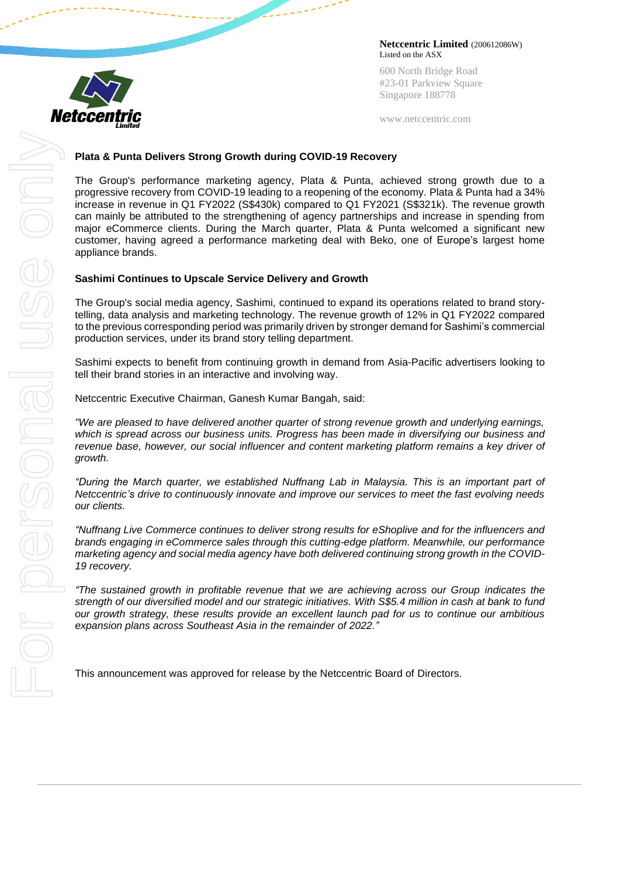

600 North Bridge Road #23-01 Parkview Square Singapore 188778

www.netccentric.com

#### **Plata & Punta Delivers Strong Growth during COVID-19 Recovery**

The Group's performance marketing agency, Plata & Punta, achieved strong growth due to a progressive recovery from COVID-19 leading to a reopening of the economy. Plata & Punta had a 34% increase in revenue in Q1 FY2022 (S\$430k) compared to Q1 FY2021 (S\$321k). The revenue growth can mainly be attributed to the strengthening of agency partnerships and increase in spending from major eCommerce clients. During the March quarter, Plata & Punta welcomed a significant new customer, having agreed a performance marketing deal with Beko, one of Europe's largest home appliance brands.

#### **Sashimi Continues to Upscale Service Delivery and Growth**

The Group's social media agency, Sashimi, continued to expand its operations related to brand storytelling, data analysis and marketing technology. The revenue growth of 12% in Q1 FY2022 compared to the previous corresponding period was primarily driven by stronger demand for Sashimi's commercial production services, under its brand story telling department.

Sashimi expects to benefit from continuing growth in demand from Asia-Pacific advertisers looking to tell their brand stories in an interactive and involving way.

Netccentric Executive Chairman, Ganesh Kumar Bangah, said:

*"We are pleased to have delivered another quarter of strong revenue growth and underlying earnings, which is spread across our business units. Progress has been made in diversifying our business and revenue base, however, our social influencer and content marketing platform remains a key driver of growth.*

*"During the March quarter, we established Nuffnang Lab in Malaysia. This is an important part of Netccentric's drive to continuously innovate and improve our services to meet the fast evolving needs our clients.* 

*"Nuffnang Live Commerce continues to deliver strong results for eShoplive and for the influencers and brands engaging in eCommerce sales through this cutting-edge platform. Meanwhile, our performance marketing agency and social media agency have both delivered continuing strong growth in the COVID-19 recovery.*

*"The sustained growth in profitable revenue that we are achieving across our Group indicates the strength of our diversified model and our strategic initiatives. With S\$5.4 million in cash at bank to fund our growth strategy, these results provide an excellent launch pad for us to continue our ambitious expansion plans across Southeast Asia in the remainder of 2022."*

This announcement was approved for release by the Netccentric Board of Directors.